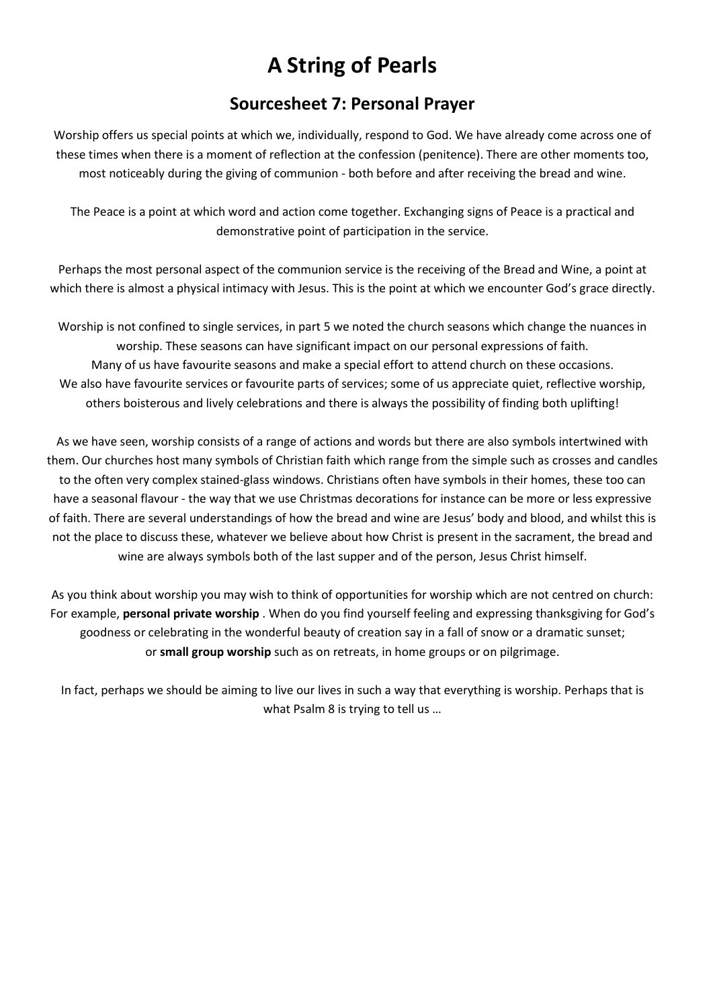# A String of Pearls

## Sourcesheet 7: Personal Prayer

Worship offers us special points at which we, individually, respond to God. We have already come across one of these times when there is a moment of reflection at the confession (penitence). There are other moments too, most noticeably during the giving of communion - both before and after receiving the bread and wine.

The Peace is a point at which word and action come together. Exchanging signs of Peace is a practical and demonstrative point of participation in the service.

Perhaps the most personal aspect of the communion service is the receiving of the Bread and Wine, a point at which there is almost a physical intimacy with Jesus. This is the point at which we encounter God's grace directly.

Worship is not confined to single services, in part 5 we noted the church seasons which change the nuances in worship. These seasons can have significant impact on our personal expressions of faith. Many of us have favourite seasons and make a special effort to attend church on these occasions. We also have favourite services or favourite parts of services; some of us appreciate quiet, reflective worship, others boisterous and lively celebrations and there is always the possibility of finding both uplifting!

As we have seen, worship consists of a range of actions and words but there are also symbols intertwined with them. Our churches host many symbols of Christian faith which range from the simple such as crosses and candles to the often very complex stained-glass windows. Christians often have symbols in their homes, these too can have a seasonal flavour - the way that we use Christmas decorations for instance can be more or less expressive of faith. There are several understandings of how the bread and wine are Jesus' body and blood, and whilst this is not the place to discuss these, whatever we believe about how Christ is present in the sacrament, the bread and wine are always symbols both of the last supper and of the person, Jesus Christ himself.

As you think about worship you may wish to think of opportunities for worship which are not centred on church: For example, personal private worship . When do you find yourself feeling and expressing thanksgiving for God's goodness or celebrating in the wonderful beauty of creation say in a fall of snow or a dramatic sunset; or small group worship such as on retreats, in home groups or on pilgrimage.

In fact, perhaps we should be aiming to live our lives in such a way that everything is worship. Perhaps that is what Psalm 8 is trying to tell us …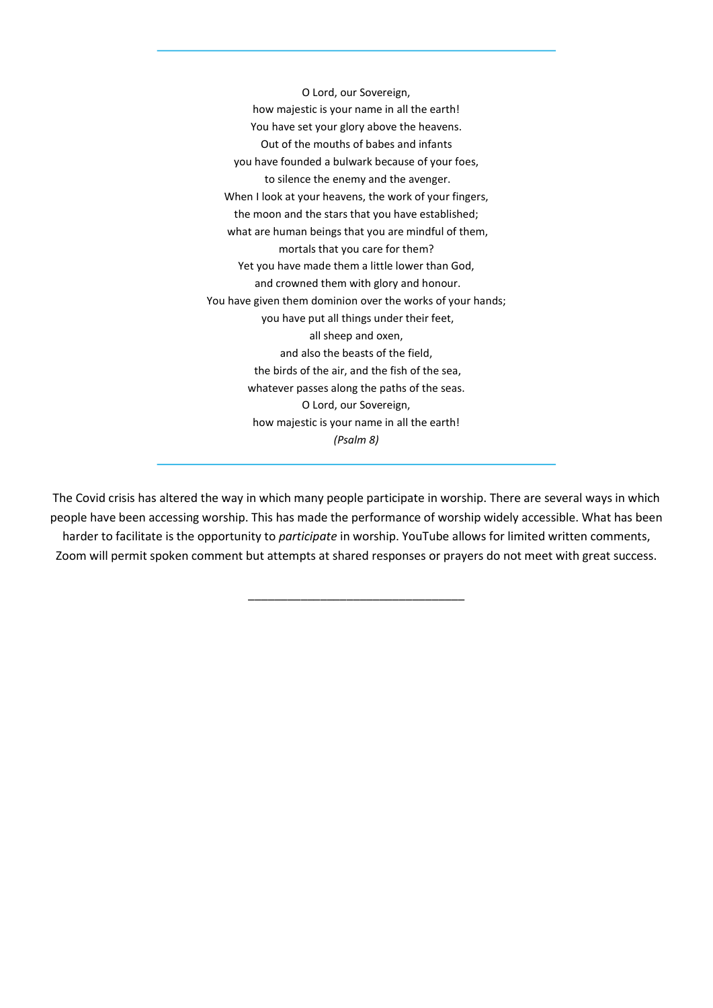O Lord, our Sovereign, how majestic is your name in all the earth! You have set your glory above the heavens. Out of the mouths of babes and infants you have founded a bulwark because of your foes, to silence the enemy and the avenger. When I look at your heavens, the work of your fingers, the moon and the stars that you have established; what are human beings that you are mindful of them, mortals that you care for them? Yet you have made them a little lower than God, and crowned them with glory and honour. You have given them dominion over the works of your hands; you have put all things under their feet, all sheep and oxen, and also the beasts of the field, the birds of the air, and the fish of the sea, whatever passes along the paths of the seas. O Lord, our Sovereign, how majestic is your name in all the earth! (Psalm 8)

The Covid crisis has altered the way in which many people participate in worship. There are several ways in which people have been accessing worship. This has made the performance of worship widely accessible. What has been harder to facilitate is the opportunity to *participate* in worship. YouTube allows for limited written comments, Zoom will permit spoken comment but attempts at shared responses or prayers do not meet with great success.

\_\_\_\_\_\_\_\_\_\_\_\_\_\_\_\_\_\_\_\_\_\_\_\_\_\_\_\_\_\_\_\_\_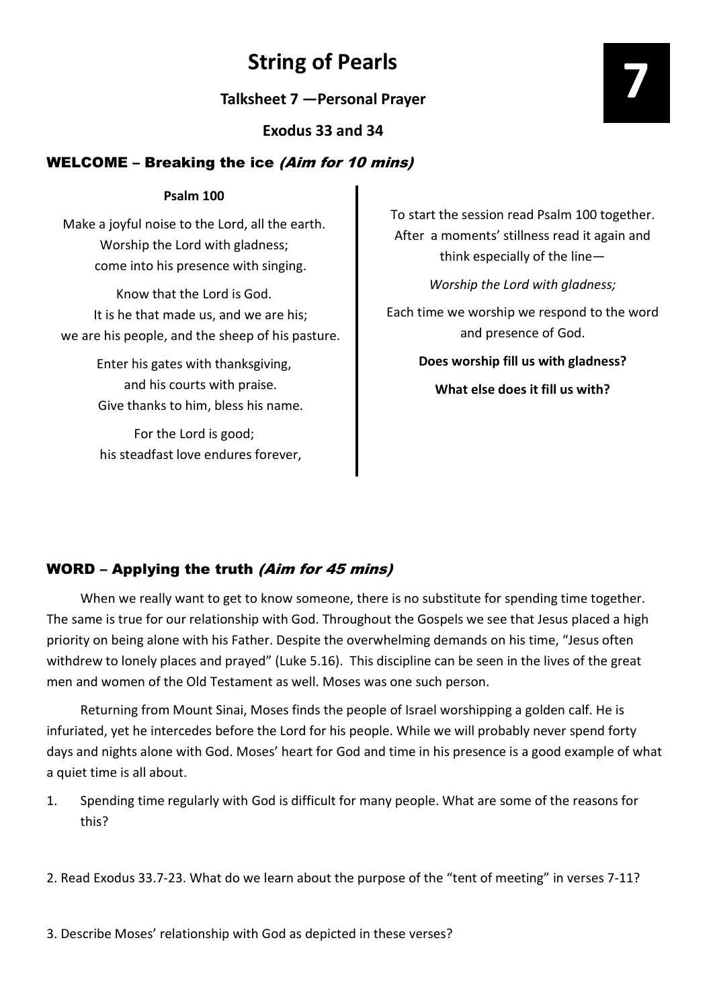## String of Pearls

Talksheet 7 —Personal Prayer

Exodus 33 and 34

### WELCOME – Breaking the ice (Aim for 10 mins)

### Psalm 100

Make a joyful noise to the Lord, all the earth. Worship the Lord with gladness; come into his presence with singing.

Know that the Lord is God. It is he that made us, and we are his; we are his people, and the sheep of his pasture.

> Enter his gates with thanksgiving, and his courts with praise. Give thanks to him, bless his name.

For the Lord is good; his steadfast love endures forever, To start the session read Psalm 100 together. After a moments' stillness read it again and think especially of the line—

Worship the Lord with gladness;

Each time we worship we respond to the word and presence of God.

> Does worship fill us with gladness? What else does it fill us with?

## WORD – Applying the truth (Aim for 45 mins)

 When we really want to get to know someone, there is no substitute for spending time together. The same is true for our relationship with God. Throughout the Gospels we see that Jesus placed a high priority on being alone with his Father. Despite the overwhelming demands on his time, "Jesus often withdrew to lonely places and prayed" (Luke 5.16). This discipline can be seen in the lives of the great men and women of the Old Testament as well. Moses was one such person.

 Returning from Mount Sinai, Moses finds the people of Israel worshipping a golden calf. He is infuriated, yet he intercedes before the Lord for his people. While we will probably never spend forty days and nights alone with God. Moses' heart for God and time in his presence is a good example of what a quiet time is all about.

- 1. Spending time regularly with God is difficult for many people. What are some of the reasons for this?
- 2. Read Exodus 33.7-23. What do we learn about the purpose of the "tent of meeting" in verses 7-11?

3. Describe Moses' relationship with God as depicted in these verses?